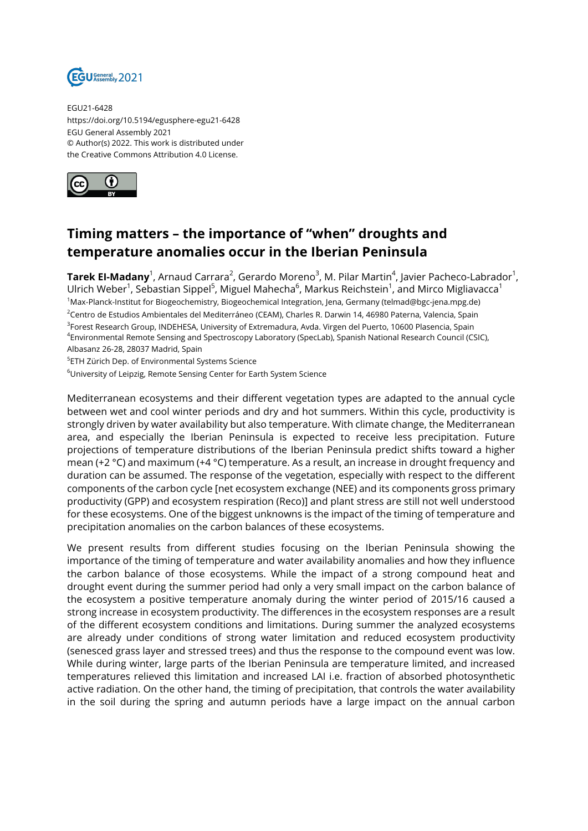

EGU21-6428 https://doi.org/10.5194/egusphere-egu21-6428 EGU General Assembly 2021 © Author(s) 2022. This work is distributed under the Creative Commons Attribution 4.0 License.



## **Timing matters – the importance of "when" droughts and temperature anomalies occur in the Iberian Peninsula**

**Tarek El-Madany**<sup>1</sup>, Arnaud Carrara<sup>2</sup>, Gerardo Moreno<sup>3</sup>, M. Pilar Martin<sup>4</sup>, Javier Pacheco-Labrador<sup>1</sup>, Ulrich Weber $^1$ , Sebastian Sippel $^5$ , Miguel Mahecha $^6$ , Markus Reichstein $^1$ , and Mirco Migliavacca $^1$ <sup>1</sup>Max-Planck-Institut for Biogeochemistry, Biogeochemical Integration, Jena, Germany (telmad@bgc-jena.mpg.de) <sup>2</sup>Centro de Estudios Ambientales del Mediterráneo (CEAM), Charles R. Darwin 14, 46980 Paterna, Valencia, Spain <sup>3</sup>Forest Research Group, INDEHESA, University of Extremadura, Avda. Virgen del Puerto, 10600 Plasencia, Spain 4 Environmental Remote Sensing and Spectroscopy Laboratory (SpecLab), Spanish National Research Council (CSIC), Albasanz 26-28, 28037 Madrid, Spain

5 ETH Zürich Dep. of Environmental Systems Science

<sup>6</sup>University of Leipzig, Remote Sensing Center for Earth System Science

Mediterranean ecosystems and their different vegetation types are adapted to the annual cycle between wet and cool winter periods and dry and hot summers. Within this cycle, productivity is strongly driven by water availability but also temperature. With climate change, the Mediterranean area, and especially the Iberian Peninsula is expected to receive less precipitation. Future projections of temperature distributions of the Iberian Peninsula predict shifts toward a higher mean (+2 °C) and maximum (+4 °C) temperature. As a result, an increase in drought frequency and duration can be assumed. The response of the vegetation, especially with respect to the different components of the carbon cycle [net ecosystem exchange (NEE) and its components gross primary productivity (GPP) and ecosystem respiration (Reco)] and plant stress are still not well understood for these ecosystems. One of the biggest unknowns is the impact of the timing of temperature and precipitation anomalies on the carbon balances of these ecosystems.

We present results from different studies focusing on the Iberian Peninsula showing the importance of the timing of temperature and water availability anomalies and how they influence the carbon balance of those ecosystems. While the impact of a strong compound heat and drought event during the summer period had only a very small impact on the carbon balance of the ecosystem a positive temperature anomaly during the winter period of 2015/16 caused a strong increase in ecosystem productivity. The differences in the ecosystem responses are a result of the different ecosystem conditions and limitations. During summer the analyzed ecosystems are already under conditions of strong water limitation and reduced ecosystem productivity (senesced grass layer and stressed trees) and thus the response to the compound event was low. While during winter, large parts of the Iberian Peninsula are temperature limited, and increased temperatures relieved this limitation and increased LAI i.e. fraction of absorbed photosynthetic active radiation. On the other hand, the timing of precipitation, that controls the water availability in the soil during the spring and autumn periods have a large impact on the annual carbon